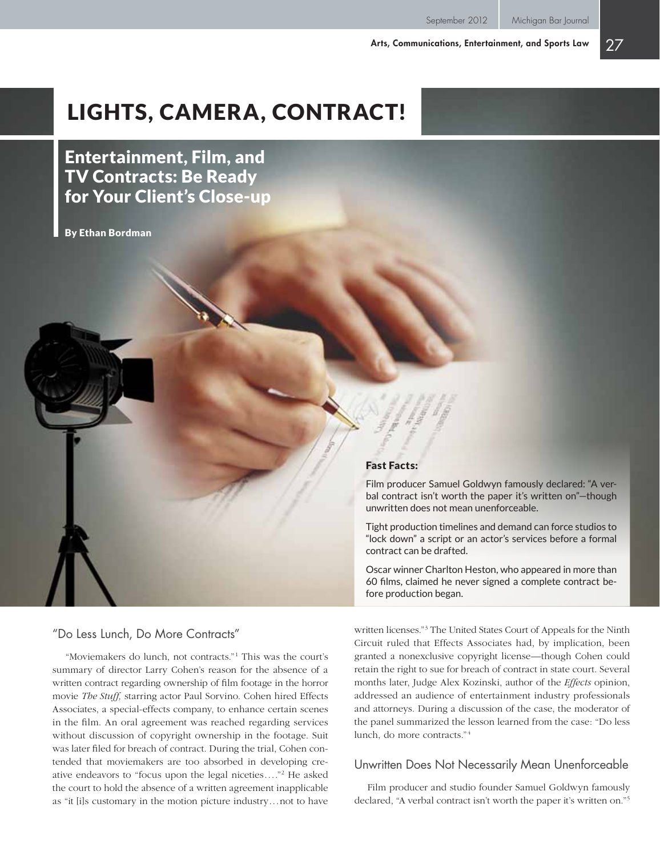# Lights, Camera, Contract!

Entertainment, Film, and TV Contracts: Be Ready for Your Client's Close-up

By Ethan Bordman

#### Fast Facts:

Film producer Samuel Goldwyn famously declared: "A verbal contract isn't worth the paper it's written on"—though unwritten does not mean unenforceable.

Tight production timelines and demand can force studios to "lock down" a script or an actor's services before a formal contract can be drafted.

Oscar winner Charlton Heston, who appeared in more than 60 films, claimed he never signed a complete contract before production began.

#### "Do Less Lunch, Do More Contracts"

"Moviemakers do lunch, not contracts."<sup>1</sup> This was the court's summary of director Larry Cohen's reason for the absence of a written contract regarding ownership of film footage in the horror movie *The Stuff,* starring actor Paul Sorvino. Cohen hired Effects Associates, a special-effects company, to enhance certain scenes in the film. An oral agreement was reached regarding services without discussion of copyright ownership in the footage. Suit was later filed for breach of contract. During the trial, Cohen contended that moviemakers are too absorbed in developing creative endeavors to "focus upon the legal niceties...."2 He asked the court to hold the absence of a written agreement inapplicable as "it [i]s customary in the motion picture industry...not to have

written licenses."3 The United States Court of Appeals for the Ninth Circuit ruled that Effects Associates had, by implication, been granted a nonexclusive copyright license—though Cohen could retain the right to sue for breach of contract in state court. Several months later, Judge Alex Kozinski, author of the *Effects* opinion, addressed an audience of entertainment industry professionals and attorneys. During a discussion of the case, the moderator of the panel summarized the lesson learned from the case: "Do less lunch, do more contracts." <sup>4</sup>

## Unwritten Does Not Necessarily Mean Unenforceable

Film producer and studio founder Samuel Goldwyn famously declared, "A verbal contract isn't worth the paper it's written on."5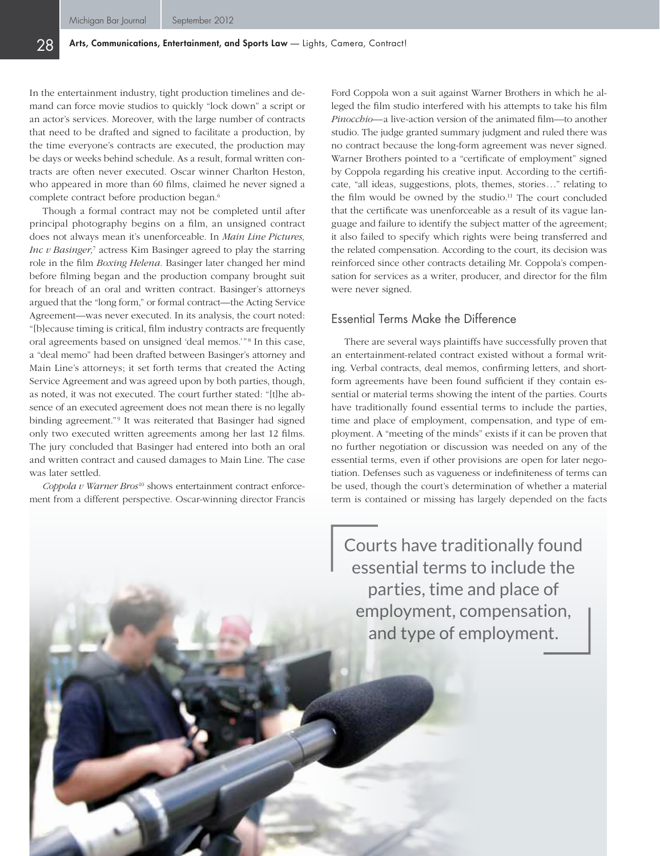In the entertainment industry, tight production timelines and demand can force movie studios to quickly "lock down" a script or an actor's services. Moreover, with the large number of contracts that need to be drafted and signed to facilitate a production, by the time everyone's contracts are executed, the production may be days or weeks behind schedule. As a result, formal written contracts are often never executed. Oscar winner Charlton Heston, who appeared in more than 60 films, claimed he never signed a complete contract before production began.6

Though a formal contract may not be completed until after principal photography begins on a film, an unsigned contract does not always mean it's unenforceable. In *Main Line Pictures, Inc v Basinger,*<sup>7</sup> actress Kim Basinger agreed to play the starring role in the film *Boxing Helena.* Basinger later changed her mind before filming began and the production company brought suit for breach of an oral and written contract. Basinger's attorneys argued that the "long form," or formal contract—the Acting Service Agreement—was never executed. In its analysis, the court noted: "[b]ecause timing is critical, film industry contracts are frequently oral agreements based on unsigned 'deal memos.'"<sup>8</sup> In this case, a "deal memo" had been drafted between Basinger's attorney and Main Line's attorneys; it set forth terms that created the Acting Service Agreement and was agreed upon by both parties, though, as noted, it was not executed. The court further stated: "[t]he absence of an executed agreement does not mean there is no legally binding agreement."<sup>9</sup> It was reiterated that Basinger had signed only two executed written agreements among her last 12 films. The jury concluded that Basinger had entered into both an oral and written contract and caused damages to Main Line. The case was later settled.

*Coppola v Warner Bros*10 shows entertainment contract enforcement from a different perspective. Oscar-winning director Francis

Ford Coppola won a suit against Warner Brothers in which he alleged the film studio interfered with his attempts to take his film *Pinocchio—*a live-action version of the animated film—to another studio. The judge granted summary judgment and ruled there was no contract because the long-form agreement was never signed. Warner Brothers pointed to a "certificate of employment" signed by Coppola regarding his creative input. According to the certificate, "all ideas, suggestions, plots, themes, stories..." relating to the film would be owned by the studio.<sup>11</sup> The court concluded that the certificate was unenforceable as a result of its vague language and failure to identify the subject matter of the agreement; it also failed to specify which rights were being transferred and the related compensation. According to the court, its decision was reinforced since other contracts detailing Mr. Coppola's compensation for services as a writer, producer, and director for the film were never signed.

# Essential Terms Make the Difference

There are several ways plaintiffs have successfully proven that an entertainment-related contract existed without a formal writing. Verbal contracts, deal memos, confirming letters, and shortform agreements have been found sufficient if they contain essential or material terms showing the intent of the parties. Courts have traditionally found essential terms to include the parties, time and place of employment, compensation, and type of employment. A "meeting of the minds" exists if it can be proven that no further negotiation or discussion was needed on any of the essential terms, even if other provisions are open for later negotiation. Defenses such as vagueness or indefiniteness of terms can be used, though the court's determination of whether a material term is contained or missing has largely depended on the facts

Courts have traditionally found essential terms to include the parties, time and place of employment, compensation, and type of employment.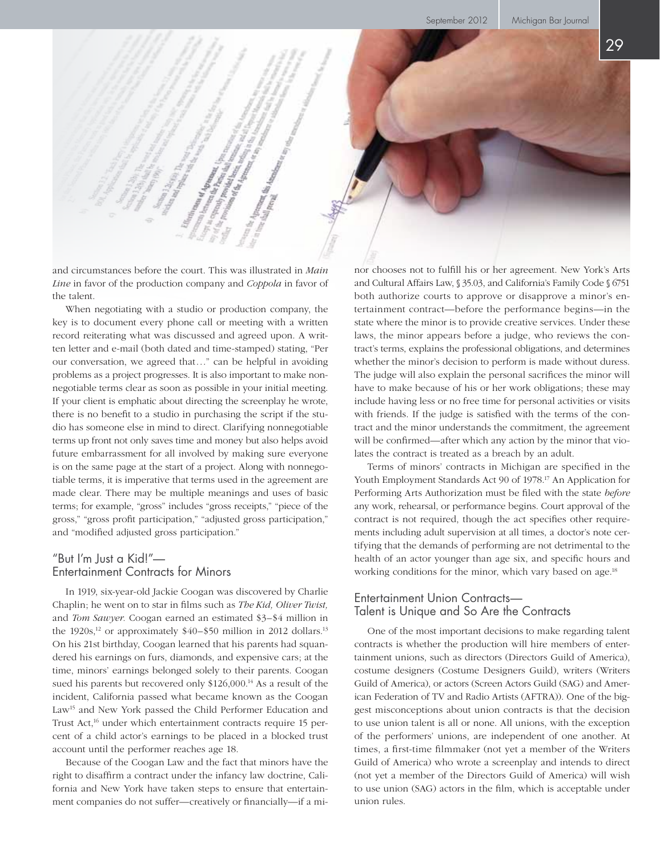and circumstances before the court. This was illustrated in *Main Line* in favor of the production company and *Coppola* in favor of the talent.

When negotiating with a studio or production company, the key is to document every phone call or meeting with a written record reiterating what was discussed and agreed upon. A written letter and e-mail (both dated and time-stamped) stating, "Per our conversation, we agreed that..." can be helpful in avoiding problems as a project progresses. It is also important to make nonnegotiable terms clear as soon as possible in your initial meeting. If your client is emphatic about directing the screenplay he wrote, there is no benefit to a studio in purchasing the script if the studio has someone else in mind to direct. Clarifying nonnegotiable terms up front not only saves time and money but also helps avoid future embarrassment for all involved by making sure everyone is on the same page at the start of a project. Along with nonnegotiable terms, it is imperative that terms used in the agreement are made clear. There may be multiple meanings and uses of basic terms; for example, "gross" includes "gross receipts," "piece of the gross," "gross profit participation," "adjusted gross participation," and "modified adjusted gross participation."

# "But I'm Just a Kid!"— Entertainment Contracts for Minors

In 1919, six-year-old Jackie Coogan was discovered by Charlie Chaplin; he went on to star in films such as *The Kid, Oliver Twist,*  and *Tom Sawyer.* Coogan earned an estimated \$3–\$4 million in the  $1920s$ ,<sup>12</sup> or approximately  $$40-$50$  million in 2012 dollars.<sup>13</sup> On his 21st birthday, Coogan learned that his parents had squandered his earnings on furs, diamonds, and expensive cars; at the time, minors' earnings belonged solely to their parents. Coogan sued his parents but recovered only \$126,000.<sup>14</sup> As a result of the incident, California passed what became known as the Coogan Law<sup>15</sup> and New York passed the Child Performer Education and Trust Act,<sup>16</sup> under which entertainment contracts require 15 percent of a child actor's earnings to be placed in a blocked trust account until the performer reaches age 18.

Because of the Coogan Law and the fact that minors have the right to disaffirm a contract under the infancy law doctrine, California and New York have taken steps to ensure that entertainment companies do not suffer—creatively or financially—if a minor chooses not to fulfill his or her agreement. New York's Arts and Cultural Affairs Law, § 35.03, and California's Family Code § 6751 both authorize courts to approve or disapprove a minor's entertainment contract—before the performance begins—in the state where the minor is to provide creative services. Under these laws, the minor appears before a judge, who reviews the contract's terms, explains the professional obligations, and determines whether the minor's decision to perform is made without duress. The judge will also explain the personal sacrifices the minor will have to make because of his or her work obligations; these may include having less or no free time for personal activities or visits with friends. If the judge is satisfied with the terms of the contract and the minor understands the commitment, the agreement will be confirmed—after which any action by the minor that violates the contract is treated as a breach by an adult.

Terms of minors' contracts in Michigan are specified in the Youth Employment Standards Act 90 of 1978.17 An Application for Performing Arts Authorization must be filed with the state *before* any work, rehearsal, or performance begins. Court approval of the contract is not required, though the act specifies other requirements including adult supervision at all times, a doctor's note certifying that the demands of performing are not detrimental to the health of an actor younger than age six, and specific hours and working conditions for the minor, which vary based on age.<sup>18</sup>

# Entertainment Union Contracts— Talent is Unique and So Are the Contracts

One of the most important decisions to make regarding talent contracts is whether the production will hire members of entertainment unions, such as directors (Directors Guild of America), costume designers (Costume Designers Guild), writers (Writers Guild of America), or actors (Screen Actors Guild (SAG) and American Federation of TV and Radio Artists (AFTRA)). One of the biggest misconceptions about union contracts is that the decision to use union talent is all or none. All unions, with the exception of the performers' unions, are independent of one another. At times, a first-time filmmaker (not yet a member of the Writers Guild of America) who wrote a screenplay and intends to direct (not yet a member of the Directors Guild of America) will wish to use union (SAG) actors in the film, which is acceptable under union rules.